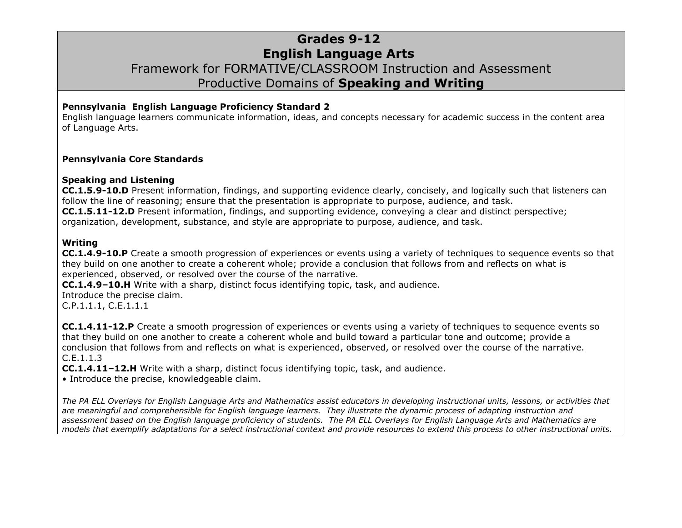### **Grades 9-12 English Language Arts** Framework for FORMATIVE/CLASSROOM Instruction and Assessment Productive Domains of **Speaking and Writing**

#### **Pennsylvania English Language Proficiency Standard 2**

English language learners communicate information, ideas, and concepts necessary for academic success in the content area of Language Arts.

#### **Pennsylvania Core Standards**

#### **Speaking and Listening**

**CC.1.5.9-10.D** Present information, findings, and supporting evidence clearly, concisely, and logically such that listeners can follow the line of reasoning; ensure that the presentation is appropriate to purpose, audience, and task. **CC.1.5.11-12.D** Present information, findings, and supporting evidence, conveying a clear and distinct perspective; organization, development, substance, and style are appropriate to purpose, audience, and task.

#### **Writing**

**CC.1.4.9-10.P** Create a smooth progression of experiences or events using a variety of techniques to sequence events so that they build on one another to create a coherent whole; provide a conclusion that follows from and reflects on what is experienced, observed, or resolved over the course of the narrative.

**CC.1.4.9–10.H** Write with a sharp, distinct focus identifying topic, task, and audience.

Introduce the precise claim. C.P.1.1.1, C.E.1.1.1

**CC.1.4.11-12.P** Create a smooth progression of experiences or events using a variety of techniques to sequence events so that they build on one another to create a coherent whole and build toward a particular tone and outcome; provide a conclusion that follows from and reflects on what is experienced, observed, or resolved over the course of the narrative. [C.E.1.1.3](http://www.pdesas.org/Standard/StandardsBrowser#26109?cf=y )

**CC.1.4.11–12.H** Write with a sharp, distinct focus identifying topic, task, and audience.

• Introduce the precise, knowledgeable claim.

*The PA ELL Overlays for English Language Arts and Mathematics assist educators in developing instructional units, lessons, or activities that are meaningful and comprehensible for English language learners. They illustrate the dynamic process of adapting instruction and assessment based on the English language proficiency of students. The PA ELL Overlays for English Language Arts and Mathematics are models that exemplify adaptations for a select instructional context and provide resources to extend this process to other instructional units.*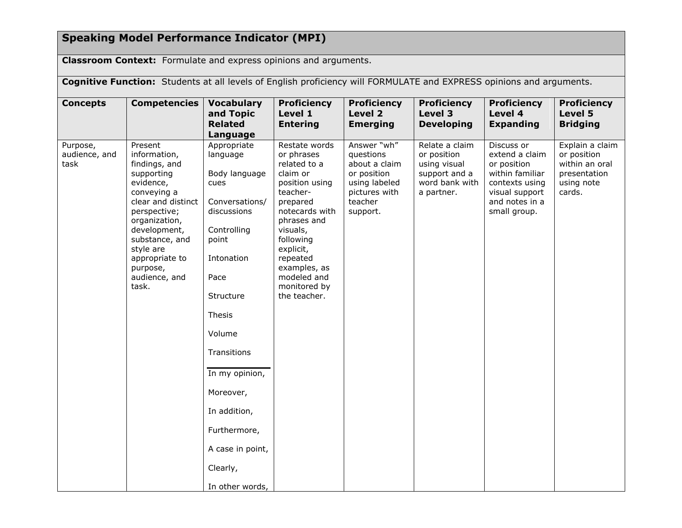# **Speaking Model Performance Indicator (MPI)**

**Classroom Context:** Formulate and express opinions and arguments.

| Cognitive Function: Students at all levels of English proficiency will FORMULATE and EXPRESS opinions and arguments. |                                                                                                                                                                                                                                                  |                                                                                                                                                                                                                                                                                                   |                                                                                                                                                                                                                                                     |                                                                                                                   |                                                                                                |                                                                                                                                      |                                                                                          |  |
|----------------------------------------------------------------------------------------------------------------------|--------------------------------------------------------------------------------------------------------------------------------------------------------------------------------------------------------------------------------------------------|---------------------------------------------------------------------------------------------------------------------------------------------------------------------------------------------------------------------------------------------------------------------------------------------------|-----------------------------------------------------------------------------------------------------------------------------------------------------------------------------------------------------------------------------------------------------|-------------------------------------------------------------------------------------------------------------------|------------------------------------------------------------------------------------------------|--------------------------------------------------------------------------------------------------------------------------------------|------------------------------------------------------------------------------------------|--|
| <b>Concepts</b>                                                                                                      | <b>Competencies</b>                                                                                                                                                                                                                              | <b>Vocabulary</b><br>and Topic<br><b>Related</b><br>Language                                                                                                                                                                                                                                      | <b>Proficiency</b><br>Level 1<br><b>Entering</b>                                                                                                                                                                                                    | <b>Proficiency</b><br><b>Level 2</b><br><b>Emerging</b>                                                           | <b>Proficiency</b><br>Level 3<br><b>Developing</b>                                             | <b>Proficiency</b><br>Level 4<br><b>Expanding</b>                                                                                    | <b>Proficiency</b><br>Level 5<br><b>Bridging</b>                                         |  |
| Purpose,<br>audience, and<br>task                                                                                    | Present<br>information,<br>findings, and<br>supporting<br>evidence,<br>conveying a<br>clear and distinct<br>perspective;<br>organization,<br>development,<br>substance, and<br>style are<br>appropriate to<br>purpose,<br>audience, and<br>task. | Appropriate<br>language<br>Body language<br>cues<br>Conversations/<br>discussions<br>Controlling<br>point<br>Intonation<br>Pace<br>Structure<br>Thesis<br>Volume<br>Transitions<br>In my opinion,<br>Moreover,<br>In addition,<br>Furthermore,<br>A case in point,<br>Clearly,<br>In other words, | Restate words<br>or phrases<br>related to a<br>claim or<br>position using<br>teacher-<br>prepared<br>notecards with<br>phrases and<br>visuals,<br>following<br>explicit,<br>repeated<br>examples, as<br>modeled and<br>monitored by<br>the teacher. | Answer "wh"<br>questions<br>about a claim<br>or position<br>using labeled<br>pictures with<br>teacher<br>support. | Relate a claim<br>or position<br>using visual<br>support and a<br>word bank with<br>a partner. | Discuss or<br>extend a claim<br>or position<br>within familiar<br>contexts using<br>visual support<br>and notes in a<br>small group. | Explain a claim<br>or position<br>within an oral<br>presentation<br>using note<br>cards. |  |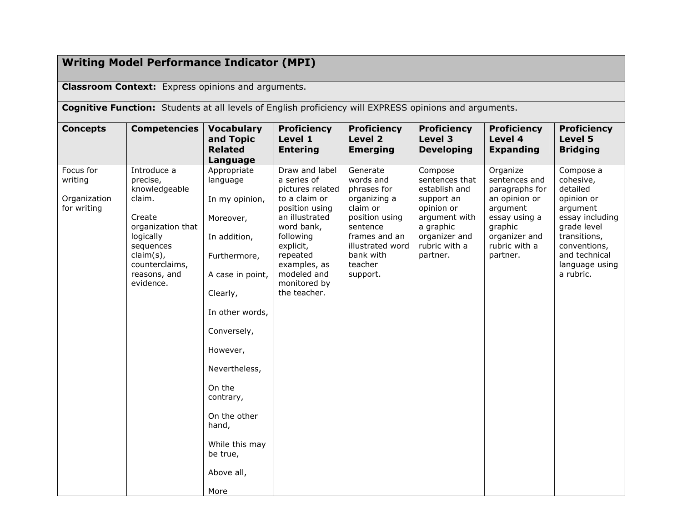## **Writing Model Performance Indicator (MPI)**

**Classroom Context:** Express opinions and arguments.

**Cognitive Function:** Students at all levels of English proficiency will EXPRESS opinions and arguments.

| <b>Concepts</b>                                     | <b>Competencies</b>                                                                                                                                                     | <b>Vocabulary</b><br>and Topic<br><b>Related</b><br>Language                                                                                                                                                                                                                              | <b>Proficiency</b><br>Level 1<br><b>Entering</b>                                                                                                                                                                          | <b>Proficiency</b><br>Level 2<br><b>Emerging</b>                                                                                                                        | <b>Proficiency</b><br>Level 3<br><b>Developing</b>                                                                                                 | <b>Proficiency</b><br>Level 4<br><b>Expanding</b>                                                                                                  | <b>Proficiency</b><br>Level 5<br><b>Bridging</b>                                                                                                                               |
|-----------------------------------------------------|-------------------------------------------------------------------------------------------------------------------------------------------------------------------------|-------------------------------------------------------------------------------------------------------------------------------------------------------------------------------------------------------------------------------------------------------------------------------------------|---------------------------------------------------------------------------------------------------------------------------------------------------------------------------------------------------------------------------|-------------------------------------------------------------------------------------------------------------------------------------------------------------------------|----------------------------------------------------------------------------------------------------------------------------------------------------|----------------------------------------------------------------------------------------------------------------------------------------------------|--------------------------------------------------------------------------------------------------------------------------------------------------------------------------------|
| Focus for<br>writing<br>Organization<br>for writing | Introduce a<br>precise,<br>knowledgeable<br>claim.<br>Create<br>organization that<br>logically<br>sequences<br>claim(s),<br>counterclaims,<br>reasons, and<br>evidence. | Appropriate<br>language<br>In my opinion,<br>Moreover,<br>In addition,<br>Furthermore,<br>A case in point,<br>Clearly,<br>In other words,<br>Conversely,<br>However,<br>Nevertheless,<br>On the<br>contrary,<br>On the other<br>hand,<br>While this may<br>be true,<br>Above all,<br>More | Draw and label<br>a series of<br>pictures related<br>to a claim or<br>position using<br>an illustrated<br>word bank,<br>following<br>explicit,<br>repeated<br>examples, as<br>modeled and<br>monitored by<br>the teacher. | Generate<br>words and<br>phrases for<br>organizing a<br>claim or<br>position using<br>sentence<br>frames and an<br>illustrated word<br>bank with<br>teacher<br>support. | Compose<br>sentences that<br>establish and<br>support an<br>opinion or<br>argument with<br>a graphic<br>organizer and<br>rubric with a<br>partner. | Organize<br>sentences and<br>paragraphs for<br>an opinion or<br>argument<br>essay using a<br>graphic<br>organizer and<br>rubric with a<br>partner. | Compose a<br>cohesive,<br>detailed<br>opinion or<br>argument<br>essay including<br>grade level<br>transitions,<br>conventions,<br>and technical<br>language using<br>a rubric. |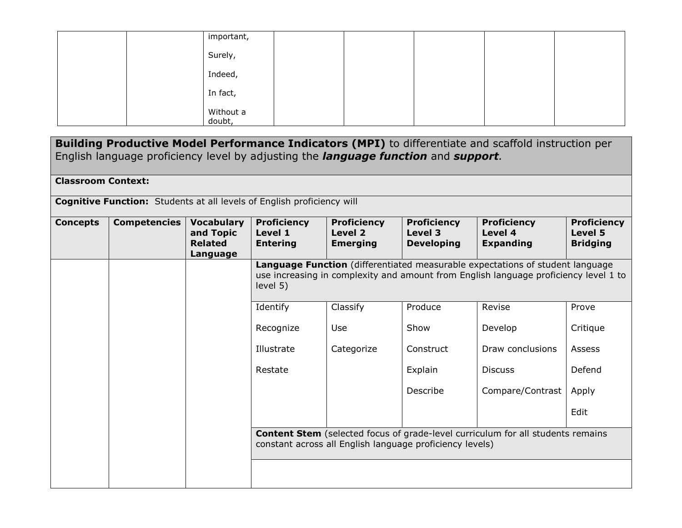|  | important,          |  |  |  |
|--|---------------------|--|--|--|
|  | Surely,             |  |  |  |
|  | Indeed,             |  |  |  |
|  | In fact,            |  |  |  |
|  | Without a<br>doubt, |  |  |  |

| Building Productive Model Performance Indicators (MPI) to differentiate and scaffold instruction per<br>English language proficiency level by adjusting the <i>language function</i> and <i>support</i> . |                     |                                                              |                                                                                                                                                                                   |                                                  |                                                    |                                                   |                                                  |  |  |
|-----------------------------------------------------------------------------------------------------------------------------------------------------------------------------------------------------------|---------------------|--------------------------------------------------------------|-----------------------------------------------------------------------------------------------------------------------------------------------------------------------------------|--------------------------------------------------|----------------------------------------------------|---------------------------------------------------|--------------------------------------------------|--|--|
| <b>Classroom Context:</b>                                                                                                                                                                                 |                     |                                                              |                                                                                                                                                                                   |                                                  |                                                    |                                                   |                                                  |  |  |
| <b>Cognitive Function:</b> Students at all levels of English proficiency will                                                                                                                             |                     |                                                              |                                                                                                                                                                                   |                                                  |                                                    |                                                   |                                                  |  |  |
| <b>Concepts</b>                                                                                                                                                                                           | <b>Competencies</b> | <b>Vocabulary</b><br>and Topic<br><b>Related</b><br>Language | <b>Proficiency</b><br>Level 1<br><b>Entering</b>                                                                                                                                  | <b>Proficiency</b><br>Level 2<br><b>Emerging</b> | <b>Proficiency</b><br>Level 3<br><b>Developing</b> | <b>Proficiency</b><br>Level 4<br><b>Expanding</b> | <b>Proficiency</b><br>Level 5<br><b>Bridging</b> |  |  |
|                                                                                                                                                                                                           |                     |                                                              | Language Function (differentiated measurable expectations of student language<br>use increasing in complexity and amount from English language proficiency level 1 to<br>level 5) |                                                  |                                                    |                                                   |                                                  |  |  |
|                                                                                                                                                                                                           |                     |                                                              | Identify                                                                                                                                                                          | Classify                                         | Produce                                            | Revise                                            | Prove                                            |  |  |
|                                                                                                                                                                                                           |                     |                                                              | Recognize                                                                                                                                                                         | Use                                              | Show                                               | Develop                                           | Critique                                         |  |  |
|                                                                                                                                                                                                           |                     |                                                              | Illustrate                                                                                                                                                                        | Categorize                                       | Construct                                          | Draw conclusions                                  | <b>Assess</b>                                    |  |  |
|                                                                                                                                                                                                           |                     |                                                              | Restate                                                                                                                                                                           |                                                  | Explain                                            | <b>Discuss</b>                                    | Defend                                           |  |  |
|                                                                                                                                                                                                           |                     |                                                              |                                                                                                                                                                                   |                                                  | Describe                                           | Compare/Contrast                                  | Apply                                            |  |  |
|                                                                                                                                                                                                           |                     |                                                              |                                                                                                                                                                                   |                                                  |                                                    |                                                   | Edit                                             |  |  |
|                                                                                                                                                                                                           |                     |                                                              | <b>Content Stem</b> (selected focus of grade-level curriculum for all students remains<br>constant across all English language proficiency levels)                                |                                                  |                                                    |                                                   |                                                  |  |  |
|                                                                                                                                                                                                           |                     |                                                              |                                                                                                                                                                                   |                                                  |                                                    |                                                   |                                                  |  |  |